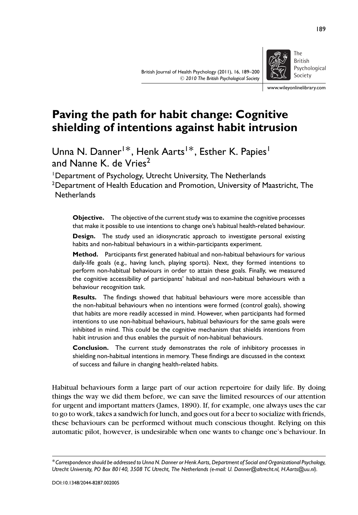

British Psychological Society

www.wileyonlinelibrary.com

# **Paving the path for habit change: Cognitive shielding of intentions against habit intrusion**

Unna N. Danner<sup>1\*</sup>, Henk Aarts<sup>1\*</sup>, Esther K. Papies<sup>1</sup> and Nanne K. de Vries<sup>2</sup>

1Department of Psychology, Utrecht University, The Netherlands

<sup>2</sup> Department of Health Education and Promotion, University of Maastricht, The **Netherlands** 

**Objective.** The objective of the current study was to examine the cognitive processes that make it possible to use intentions to change one's habitual health-related behaviour.

**Design.** The study used an idiosyncratic approach to investigate personal existing habits and non-habitual behaviours in a within-participants experiment.

**Method.** Participants first generated habitual and non-habitual behaviours for various daily-life goals (e.g., having lunch, playing sports). Next, they formed intentions to perform non-habitual behaviours in order to attain these goals. Finally, we measured the cognitive accessibility of participants' habitual and non-habitual behaviours with a behaviour recognition task.

**Results.** The findings showed that habitual behaviours were more accessible than the non-habitual behaviours when no intentions were formed (control goals), showing that habits are more readily accessed in mind. However, when participants had formed intentions to use non-habitual behaviours, habitual behaviours for the same goals were inhibited in mind. This could be the cognitive mechanism that shields intentions from habit intrusion and thus enables the pursuit of non-habitual behaviours.

**Conclusion.** The current study demonstrates the role of inhibitory processes in shielding non-habitual intentions in memory. These findings are discussed in the context of success and failure in changing health-related habits.

Habitual behaviours form a large part of our action repertoire for daily life. By doing things the way we did them before, we can save the limited resources of our attention for urgent and important matters (James, 1890). If, for example, one always uses the car to go to work, takes a sandwich for lunch, and goes out for a beer to socialize with friends, these behaviours can be performed without much conscious thought. Relying on this automatic pilot, however, is undesirable when one wants to change one's behaviour. In

<sup>∗</sup>*Correspondence should be addressed to Unna N. Danner or Henk Aarts, Department of Social and Organizational Psychology, Utrecht University, PO Box 80140, 3508 TC Utrecht, The Netherlands (e-mail: U. Danner@altrecht.nl, H.Aarts@uu.nl).*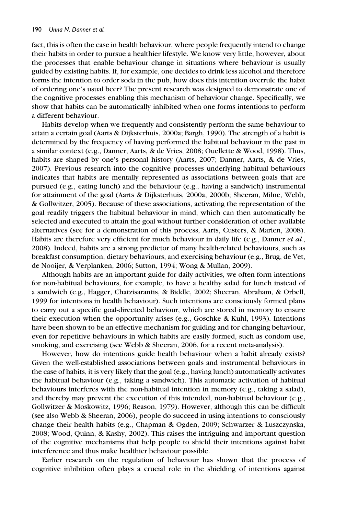fact, this is often the case in health behaviour, where people frequently intend to change their habits in order to pursue a healthier lifestyle. We know very little, however, about the processes that enable behaviour change in situations where behaviour is usually guided by existing habits. If, for example, one decides to drink less alcohol and therefore forms the intention to order soda in the pub, how does this intention overrule the habit of ordering one's usual beer? The present research was designed to demonstrate one of the cognitive processes enabling this mechanism of behaviour change. Specifically, we show that habits can be automatically inhibited when one forms intentions to perform a different behaviour.

Habits develop when we frequently and consistently perform the same behaviour to attain a certain goal (Aarts & Dijksterhuis, 2000a; Bargh, 1990). The strength of a habit is determined by the frequency of having performed the habitual behaviour in the past in a similar context (e.g., Danner, Aarts, & de Vries, 2008; Ouellette & Wood, 1998). Thus, habits are shaped by one's personal history (Aarts, 2007; Danner, Aarts, & de Vries, 2007). Previous research into the cognitive processes underlying habitual behaviours indicates that habits are mentally represented as associations between goals that are pursued (e.g., eating lunch) and the behaviour (e.g., having a sandwich) instrumental for attainment of the goal (Aarts & Dijksterhuis, 2000a, 2000b; Sheeran, Milne, Webb, & Gollwitzer, 2005). Because of these associations, activating the representation of the goal readily triggers the habitual behaviour in mind, which can then automatically be selected and executed to attain the goal without further consideration of other available alternatives (see for a demonstration of this process, Aarts, Custers, & Marien, 2008). Habits are therefore very efficient for much behaviour in daily life (e.g., Danner *et al.*, 2008). Indeed, habits are a strong predictor of many health-related behaviours, such as breakfast consumption, dietary behaviours, and exercising behaviour (e.g., Brug, de Vet, de Nooijer, & Verplanken, 2006; Sutton, 1994; Wong & Mullan, 2009).

Although habits are an important guide for daily activities, we often form intentions for non-habitual behaviours, for example, to have a healthy salad for lunch instead of a sandwich (e.g., Hagger, Chatzisarantis, & Biddle, 2002; Sheeran, Abraham, & Orbell, 1999 for intentions in health behaviour). Such intentions are consciously formed plans to carry out a specific goal-directed behaviour, which are stored in memory to ensure their execution when the opportunity arises (e.g., Goschke & Kuhl, 1993). Intentions have been shown to be an effective mechanism for guiding and for changing behaviour, even for repetitive behaviours in which habits are easily formed, such as condom use, smoking, and exercising (see Webb & Sheeran, 2006, for a recent meta-analysis).

However, how do intentions guide health behaviour when a habit already exists? Given the well-established associations between goals and instrumental behaviours in the case of habits, it is very likely that the goal (e.g., having lunch) automatically activates the habitual behaviour (e.g., taking a sandwich). This automatic activation of habitual behaviours interferes with the non-habitual intention in memory (e.g., taking a salad), and thereby may prevent the execution of this intended, non-habitual behaviour (e.g., Gollwitzer & Moskowitz, 1996; Reason, 1979). However, although this can be difficult (see also Webb & Sheeran, 2006), people do succeed in using intentions to consciously change their health habits (e.g., Chapman & Ogden, 2009; Schwarzer & Luszczynska, 2008; Wood, Quinn, & Kashy, 2002). This raises the intriguing and important question of the cognitive mechanisms that help people to shield their intentions against habit interference and thus make healthier behaviour possible.

Earlier research on the regulation of behaviour has shown that the process of cognitive inhibition often plays a crucial role in the shielding of intentions against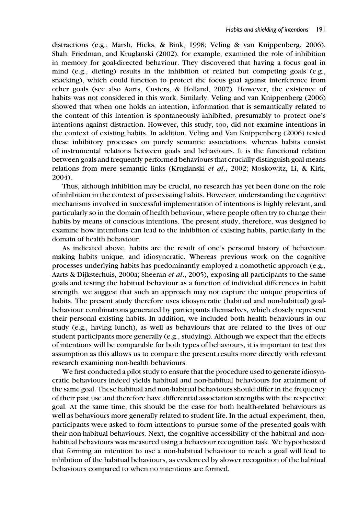distractions (e.g., Marsh, Hicks, & Bink, 1998; Veling & van Knippenberg, 2006). Shah, Friedman, and Kruglanski (2002), for example, examined the role of inhibition in memory for goal-directed behaviour. They discovered that having a focus goal in mind (e.g., dieting) results in the inhibition of related but competing goals (e.g., snacking), which could function to protect the focus goal against interference from other goals (see also Aarts, Custers, & Holland, 2007). However, the existence of habits was not considered in this work. Similarly, Veling and van Knippenberg (2006) showed that when one holds an intention, information that is semantically related to the content of this intention is spontaneously inhibited, presumably to protect one's intentions against distraction. However, this study, too, did not examine intentions in the context of existing habits. In addition, Veling and Van Knippenberg (2006) tested these inhibitory processes on purely semantic associations, whereas habits consist of instrumental relations between goals and behaviours. It is the functional relation between goals and frequently performed behaviours that crucially distinguish goal-means relations from mere semantic links (Kruglanski *et al*., 2002; Moskowitz, Li, & Kirk, 2004).

Thus, although inhibition may be crucial, no research has yet been done on the role of inhibition in the context of pre-existing habits. However, understanding the cognitive mechanisms involved in successful implementation of intentions is highly relevant, and particularly so in the domain of health behaviour, where people often try to change their habits by means of conscious intentions. The present study, therefore, was designed to examine how intentions can lead to the inhibition of existing habits, particularly in the domain of health behaviour.

As indicated above, habits are the result of one's personal history of behaviour, making habits unique, and idiosyncratic. Whereas previous work on the cognitive processes underlying habits has predominantly employed a nomothetic approach (e.g., Aarts & Dijksterhuis, 2000a; Sheeran *et al*., 2005), exposing all participants to the same goals and testing the habitual behaviour as a function of individual differences in habit strength, we suggest that such an approach may not capture the unique properties of habits. The present study therefore uses idiosyncratic (habitual and non-habitual) goalbehaviour combinations generated by participants themselves, which closely represent their personal existing habits. In addition, we included both health behaviours in our study (e.g., having lunch), as well as behaviours that are related to the lives of our student participants more generally (e.g., studying). Although we expect that the effects of intentions will be comparable for both types of behaviours, it is important to test this assumption as this allows us to compare the present results more directly with relevant research examining non-health behaviours.

We first conducted a pilot study to ensure that the procedure used to generate idiosyncratic behaviours indeed yields habitual and non-habitual behaviours for attainment of the same goal. These habitual and non-habitual behaviours should differ in the frequency of their past use and therefore have differential association strengths with the respective goal. At the same time, this should be the case for both health-related behaviours as well as behaviours more generally related to student life. In the actual experiment, then, participants were asked to form intentions to pursue some of the presented goals with their non-habitual behaviours. Next, the cognitive accessibility of the habitual and nonhabitual behaviours was measured using a behaviour recognition task. We hypothesized that forming an intention to use a non-habitual behaviour to reach a goal will lead to inhibition of the habitual behaviours, as evidenced by slower recognition of the habitual behaviours compared to when no intentions are formed.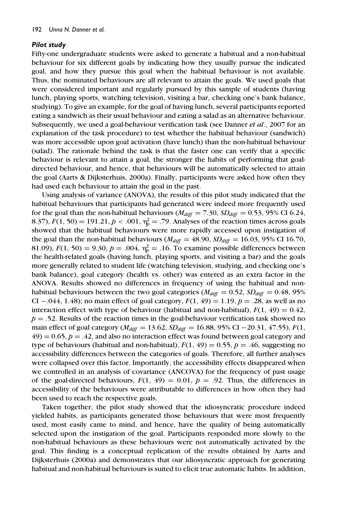## *Pilot study*

Fifty-one undergraduate students were asked to generate a habitual and a non-habitual behaviour for six different goals by indicating how they usually pursue the indicated goal, and how they pursue this goal when the habitual behaviour is not available. Thus, the nominated behaviours are all relevant to attain the goals. We used goals that were considered important and regularly pursued by this sample of students (having lunch, playing sports, watching television, visiting a bar, checking one's bank balance, studying). To give an example, for the goal of having lunch, several participants reported eating a sandwich as their usual behaviour and eating a salad as an alternative behaviour. Subsequently, we used a goal-behaviour verification task (see Danner *et al*., 2007 for an explanation of the task procedure) to test whether the habitual behaviour (sandwich) was more accessible upon goal activation (have lunch) than the non-habitual behaviour (salad). The rationale behind the task is that the faster one can verify that a specific behaviour is relevant to attain a goal, the stronger the habits of performing that goaldirected behaviour, and hence, that behaviours will be automatically selected to attain the goal (Aarts & Dijksterhuis, 2000a). Finally, participants were asked how often they had used each behaviour to attain the goal in the past.

Using analysis of variance (ANOVA), the results of this pilot study indicated that the habitual behaviours that participants had generated were indeed more frequently used for the goal than the non-habitual behaviours ( $M_{diff} = 7.30$ ,  $SD_{diff} = 0.53$ , 95% CI 6.24, 8.37),  $F(1, 50) = 191.21, p < .001, \eta_p^2 = .79$ . Analyses of the reaction times across goals showed that the habitual behaviours were more rapidly accessed upon instigation of the goal than the non-habitual behaviours ( $M_{diff} = 48.90$ ,  $SD_{diff} = 16.03$ , 95% CI 16.70, 81.09),  $F(1, 50) = 9.30, p = .004, \eta_p^2 = .16$ . To examine possible differences between the health-related goals (having lunch, playing sports, and visiting a bar) and the goals more generally related to student life (watching television, studying, and checking one's bank balance), goal category (health vs. other) was entered as an extra factor in the ANOVA. Results showed no differences in frequency of using the habitual and nonhabitual behaviours between the two goal categories ( $M_{diff} = 0.52$ ,  $SD_{diff} = 0.48$ , 95% CI −.044, 1.48); no main effect of goal category, *F*(1, 49) = 1.19, *p* = .28, as well as no interaction effect with type of behaviour (habitual and non-habitual),  $F(1, 49) = 0.42$ , *p* = .52. Results of the reaction times in the goal-behaviour verification task showed no main effect of goal category ( $M_{diff} = 13.62$ ,  $SD_{diff} = 16.88$ , 95% CI –20.31, 47.55),  $F(1)$ ,  $49$ ) = 0.65,  $p = 0.42$ , and also no interaction effect was found between goal category and type of behaviours (habitual and non-habitual),  $F(1, 49) = 0.55$ ,  $p = .46$ , suggesting no accessibility differences between the categories of goals. Therefore, all further analyses were collapsed over this factor. Importantly, the accessibility effects disappeared when we controlled in an analysis of covariance (ANCOVA) for the frequency of past usage of the goal-directed behaviours,  $F(1, 49) = 0.01$ ,  $p = .92$ . Thus, the differences in accessibility of the behaviours were attributable to differences in how often they had been used to reach the respective goals.

Taken together, the pilot study showed that the idiosyncratic procedure indeed yielded habits, as participants generated those behaviours that were most frequently used, most easily came to mind, and hence, have the quality of being automatically selected upon the instigation of the goal. Participants responded more slowly to the non-habitual behaviours as these behaviours were not automatically activated by the goal. This finding is a conceptual replication of the results obtained by Aarts and Dijksterhuis (2000a) and demonstrates that our idiosyncratic approach for generating habitual and non-habitual behaviours is suited to elicit true automatic habits. In addition,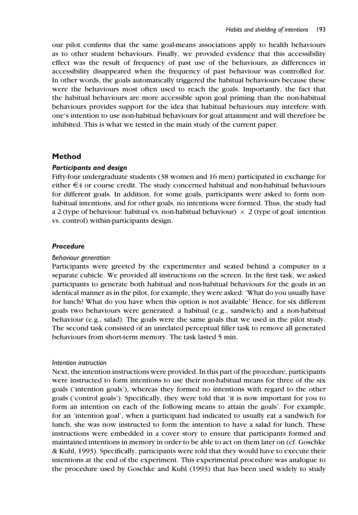our pilot confirms that the same goal-means associations apply to health behaviours as to other student behaviours. Finally, we provided evidence that this accessibility effect was the result of frequency of past use of the behaviours, as differences in accessibility disappeared when the frequency of past behaviour was controlled for. In other words, the goals automatically triggered the habitual behaviours because these were the behaviours most often used to reach the goals. Importantly, the fact that the habitual behaviours are more accessible upon goal priming than the non-habitual behaviours provides support for the idea that habitual behaviours may interfere with one's intention to use non-habitual behaviours for goal attainment and will therefore be inhibited. This is what we tested in the main study of the current paper.

## **Method**

#### *Participants and design*

Fifty-four undergraduate students (38 women and 16 men) participated in exchange for either  $\epsilon$ 4 or course credit. The study concerned habitual and non-habitual behaviours for different goals. In addition, for some goals, participants were asked to form nonhabitual intentions, and for other goals, no intentions were formed. Thus, the study had a 2 (type of behaviour: habitual vs. non-habitual behaviour)  $\times$  2 (type of goal: intention vs. control) within-participants design.

## *Procedure*

#### *Behaviour generation*

Participants were greeted by the experimenter and seated behind a computer in a separate cubicle. We provided all instructions on the screen. In the first task, we asked participants to generate both habitual and non-habitual behaviours for the goals in an identical manner as in the pilot, for example, they were asked: 'What do you usually have for lunch? What do you have when this option is not available' Hence, for six different goals two behaviours were generated: a habitual (e.g., sandwich) and a non-habitual behaviour (e.g., salad). The goals were the same goals that we used in the pilot study. The second task consisted of an unrelated perceptual filler task to remove all generated behaviours from short-term memory. The task lasted 5 min.

#### *Intention instruction*

Next, the intention instructions were provided. In this part of the procedure, participants were instructed to form intentions to use their non-habitual means for three of the six goals ('intention goals'), whereas they formed no intentions with regard to the other goals ('control goals'). Specifically, they were told that 'it is now important for you to form an intention on each of the following means to attain the goals'. For example, for an 'intention goal', when a participant had indicated to usually eat a sandwich for lunch, she was now instructed to form the intention to have a salad for lunch. These instructions were embedded in a cover story to ensure that participants formed and maintained intentions in memory in order to be able to act on them later on (cf. Goschke & Kuhl, 1993). Specifically, participants were told that they would have to execute their intentions at the end of the experiment. This experimental procedure was analogue to the procedure used by Goschke and Kuhl (1993) that has been used widely to study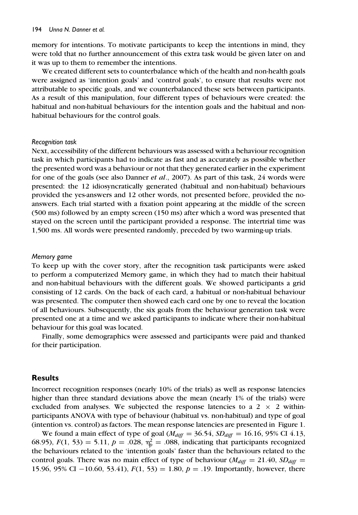memory for intentions. To motivate participants to keep the intentions in mind, they were told that no further announcement of this extra task would be given later on and it was up to them to remember the intentions.

We created different sets to counterbalance which of the health and non-health goals were assigned as 'intention goals' and 'control goals', to ensure that results were not attributable to specific goals, and we counterbalanced these sets between participants. As a result of this manipulation, four different types of behaviours were created: the habitual and non-habitual behaviours for the intention goals and the habitual and nonhabitual behaviours for the control goals.

#### *Recognition task*

Next, accessibility of the different behaviours was assessed with a behaviour recognition task in which participants had to indicate as fast and as accurately as possible whether the presented word was a behaviour or not that they generated earlier in the experiment for one of the goals (see also Danner *et al*., 2007). As part of this task, 24 words were presented: the 12 idiosyncratically generated (habitual and non-habitual) behaviours provided the yes-answers and 12 other words, not presented before, provided the noanswers. Each trial started with a fixation point appearing at the middle of the screen (500 ms) followed by an empty screen (150 ms) after which a word was presented that stayed on the screen until the participant provided a response. The intertrial time was 1,500 ms. All words were presented randomly, preceded by two warming-up trials.

#### *Memory game*

To keep up with the cover story, after the recognition task participants were asked to perform a computerized Memory game, in which they had to match their habitual and non-habitual behaviours with the different goals. We showed participants a grid consisting of 12 cards. On the back of each card, a habitual or non-habitual behaviour was presented. The computer then showed each card one by one to reveal the location of all behaviours. Subsequently, the six goals from the behaviour generation task were presented one at a time and we asked participants to indicate where their non-habitual behaviour for this goal was located.

Finally, some demographics were assessed and participants were paid and thanked for their participation.

## **Results**

Incorrect recognition responses (nearly 10% of the trials) as well as response latencies higher than three standard deviations above the mean (nearly 1% of the trials) were excluded from analyses. We subjected the response latencies to a  $2 \times 2$  withinparticipants ANOVA with type of behaviour (habitual vs. non-habitual) and type of goal (intention vs. control) as factors. The mean response latencies are presented in Figure 1.

We found a main effect of type of goal  $(M_{diff} = 36.54, SD_{diff} = 16.16, 95\% \text{ CI } 4.13,$ 68.95),  $F(1, 53) = 5.11$ ,  $p = .028$ ,  $\eta_p^2 = .088$ , indicating that participants recognized the behaviours related to the 'intention goals' faster than the behaviours related to the control goals. There was no main effect of type of behaviour  $(M_{diff} = 21.40, SD_{diff} =$ 15.96, 95% CI −10.60, 53.41), *F*(1, 53) = 1.80, *p* = .19. Importantly, however, there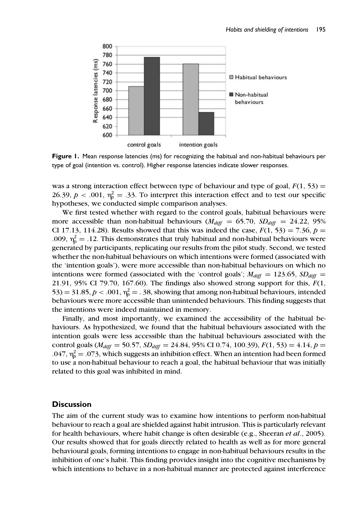

**Figure 1.** Mean response latencies (ms) for recognizing the habitual and non-habitual behaviours per type of goal (intention vs. control). Higher response latencies indicate slower responses.

was a strong interaction effect between type of behaviour and type of goal,  $F(1, 53) =$ 26.39,  $p < .001$ ,  $\eta_p^2 = .33$ . To interpret this interaction effect and to test our specific hypotheses, we conducted simple comparison analyses.

We first tested whether with regard to the control goals, habitual behaviours were more accessible than non-habitual behaviours ( $M_{diff} = 65.70$ ,  $SD_{diff} = 24.22$ , 95% CI 17.13, 114.28). Results showed that this was indeed the case,  $F(1, 53) = 7.36$ ,  $p =$ .009,  $\eta_p^2 = .12$ . This demonstrates that truly habitual and non-habitual behaviours were generated by participants, replicating our results from the pilot study. Second, we tested whether the non-habitual behaviours on which intentions were formed (associated with the 'intention goals'), were more accessible than non-habitual behaviours on which no intentions were formed (associated with the 'control goals';  $M_{diff} = 123.65$ ,  $SD_{diff} =$ 21.91, 95% CI 79.70, 167.60). The findings also showed strong support for this, *F*(1, 53) = 31.85,  $p < .001$ ,  $\eta_p^2 = .38$ , showing that among non-habitual behaviours, intended behaviours were more accessible than unintended behaviours. This finding suggests that the intentions were indeed maintained in memory.

Finally, and most importantly, we examined the accessibility of the habitual behaviours. As hypothesized, we found that the habitual behaviours associated with the intention goals were less accessible than the habitual behaviours associated with the control goals ( $M_{diff} = 50.57$ ,  $SD_{diff} = 24.84$ , 95% CI 0.74, 100.39),  $F(1, 53) = 4.14$ ,  $p =$ .047,  $\eta_p^2 = .073$ , which suggests an inhibition effect. When an intention had been formed to use a non-habitual behaviour to reach a goal, the habitual behaviour that was initially related to this goal was inhibited in mind.

# **Discussion**

The aim of the current study was to examine how intentions to perform non-habitual behaviour to reach a goal are shielded against habit intrusion. This is particularly relevant for health behaviours, where habit change is often desirable (e.g., Sheeran *et al*., 2005). Our results showed that for goals directly related to health as well as for more general behavioural goals, forming intentions to engage in non-habitual behaviours results in the inhibition of one's habit. This finding provides insight into the cognitive mechanisms by which intentions to behave in a non-habitual manner are protected against interference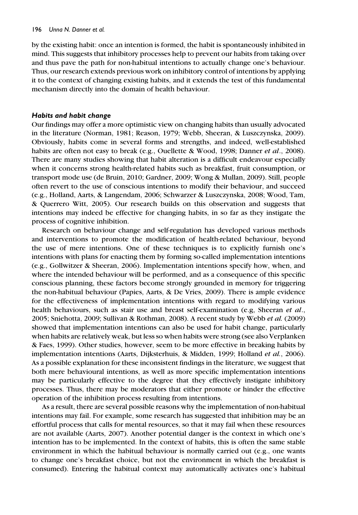by the existing habit: once an intention is formed, the habit is spontaneously inhibited in mind. This suggests that inhibitory processes help to prevent our habits from taking over and thus pave the path for non-habitual intentions to actually change one's behaviour. Thus, our research extends previous work on inhibitory control of intentions by applying it to the context of changing existing habits, and it extends the test of this fundamental mechanism directly into the domain of health behaviour.

## *Habits and habit change*

Our findings may offer a more optimistic view on changing habits than usually advocated in the literature (Norman, 1981; Reason, 1979; Webb, Sheeran, & Luszczynska, 2009). Obviously, habits come in several forms and strengths, and indeed, well-established habits are often not easy to break (e.g., Ouellette & Wood, 1998; Danner *et al*., 2008). There are many studies showing that habit alteration is a difficult endeavour especially when it concerns strong health-related habits such as breakfast, fruit consumption, or transport mode use (de Bruin, 2010; Gardner, 2009; Wong & Mullan, 2009). Still, people often revert to the use of conscious intentions to modify their behaviour, and succeed (e.g., Holland, Aarts, & Langendam, 2006; Schwarzer & Luszczynska, 2008; Wood, Tam, & Querrero Witt, 2005). Our research builds on this observation and suggests that intentions may indeed be effective for changing habits, in so far as they instigate the process of cognitive inhibition.

Research on behaviour change and self-regulation has developed various methods and interventions to promote the modification of health-related behaviour, beyond the use of mere intentions. One of these techniques is to explicitly furnish one's intentions with plans for enacting them by forming so-called implementation intentions (e.g., Gollwitzer & Sheeran, 2006). Implementation intentions specify how, when, and where the intended behaviour will be performed, and as a consequence of this specific conscious planning, these factors become strongly grounded in memory for triggering the non-habitual behaviour (Papies, Aarts, & De Vries, 2009). There is ample evidence for the effectiveness of implementation intentions with regard to modifying various health behaviours, such as stair use and breast self-examination (e.g, Sheeran *et al*., 2005; Sniehotta, 2009; Sullivan & Rothman, 2008). A recent study by Webb *et al.* (2009) showed that implementation intentions can also be used for habit change, particularly when habits are relatively weak, but less so when habits were strong (see also Verplanken & Faes, 1999). Other studies, however, seem to be more effective in breaking habits by implementation intentions (Aarts, Dijksterhuis, & Midden, 1999; Holland *et al.*, 2006). As a possible explanation for these inconsistent findings in the literature, we suggest that both mere behavioural intentions, as well as more specific implementation intentions may be particularly effective to the degree that they effectively instigate inhibitory processes. Thus, there may be moderators that either promote or hinder the effective operation of the inhibition process resulting from intentions.

As a result, there are several possible reasons why the implementation of non-habitual intentions may fail. For example, some research has suggested that inhibition may be an effortful process that calls for mental resources, so that it may fail when these resources are not available (Aarts, 2007). Another potential danger is the context in which one's intention has to be implemented. In the context of habits, this is often the same stable environment in which the habitual behaviour is normally carried out (e.g., one wants to change one's breakfast choice, but not the environment in which the breakfast is consumed). Entering the habitual context may automatically activates one's habitual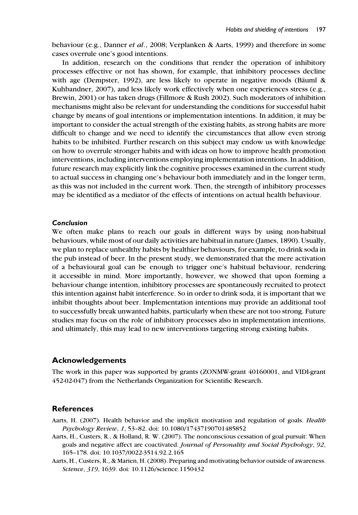behaviour (e.g., Danner *et al*., 2008; Verplanken & Aarts, 1999) and therefore in some cases overrule one's good intentions.

In addition, research on the conditions that render the operation of inhibitory processes effective or not has shown, for example, that inhibitory processes decline with age (Dempster, 1992), are less likely to operate in negative moods (Bäuml  $\&$ Kuhbandner, 2007), and less likely work effectively when one experiences stress (e.g., Brewin, 2001) or has taken drugs (Fillmore & Rush 2002). Such moderators of inhibition mechanisms might also be relevant for understanding the conditions for successful habit change by means of goal intentions or implementation intentions. In addition, it may be important to consider the actual strength of the existing habits, as strong habits are more difficult to change and we need to identify the circumstances that allow even strong habits to be inhibited. Further research on this subject may endow us with knowledge on how to overrule stronger habits and with ideas on how to improve health promotion interventions, including interventions employing implementation intentions. In addition, future research may explicitly link the cognitive processes examined in the current study to actual success in changing one's behaviour both immediately and in the longer term, as this was not included in the current work. Then, the strength of inhibitory processes may be identified as a mediator of the effects of intentions on actual health behaviour.

## *Conclusion*

We often make plans to reach our goals in different ways by using non-habitual behaviours, while most of our daily activities are habitual in nature (James, 1890). Usually, we plan to replace unhealthy habits by healthier behaviours, for example, to drink soda in the pub instead of beer. In the present study, we demonstrated that the mere activation of a behavioural goal can be enough to trigger one's habitual behaviour, rendering it accessible in mind. More importantly, however, we showed that upon forming a behaviour change intention, inhibitory processes are spontaneously recruited to protect this intention against habit interference. So in order to drink soda, it is important that we inhibit thoughts about beer. Implementation intentions may provide an additional tool to successfully break unwanted habits, particularly when these are not too strong. Future studies may focus on the role of inhibitory processes also in implementation intentions, and ultimately, this may lead to new interventions targeting strong existing habits.

# **Acknowledgements**

The work in this paper was supported by grants (ZONMW-grant 40160001, and VIDI-grant 452-02-047) from the Netherlands Organization for Scientific Research.

# **References**

- Aarts, H. (2007). Health behavior and the implicit motivation and regulation of goals. *Health Psychology Review*, *1*, 53–82. doi: 10.1080/17437190701485852
- Aarts, H., Custers, R., & Holland, R. W. (2007). The nonconscious cessation of goal pursuit: When goals and negative affect are coactivated. *Journal of Personality and Social Psychology*, *92*, 165–178. doi: 10.1037/0022-3514.92.2.165
- Aarts, H., Custers, R., & Marien, H. (2008). Preparing and motivating behavior outside of awareness. *Science*, *319*, 1639. doi: 10.1126/science.1150432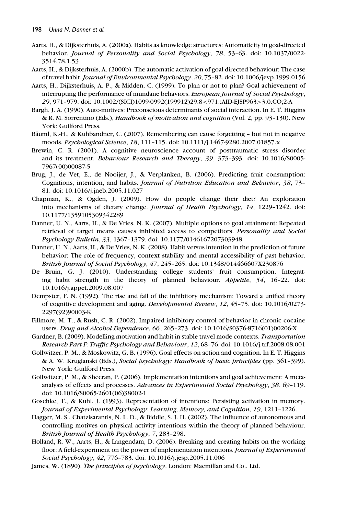- Aarts, H., & Dijksterhuis, A. (2000a). Habits as knowledge structures: Automaticity in goal-directed behavior. *Journal of Personality and Social Psychology*, *78*, 53–63. doi: 10.1037/0022- 3514.78.1.53
- Aarts, H., & Dijksterhuis, A. (2000b). The automatic activation of goal-directed behaviour: The case of travel habit. *Journal of Environmental Psychology*, *20*, 75–82. doi: 10.1006/jevp.1999.0156
- Aarts, H., Dijksterhuis, A. P., & Midden, C. (1999). To plan or not to plan? Goal achievement of interrupting the performance of mundane behaviors. *European Journal of Social Psychology*, *29*, 971–979. doi: 10.1002/(SICI)1099-0992(199912)29:8<971::AID-EJSP963>3.0.CO;2-A
- Bargh, J. A. (1990). Auto-motives: Preconscious determinants of social interaction. In E. T. Higgins & R. M. Sorrentino (Eds.), *Handbook of motivation and cognition* (Vol. 2, pp. 93–130). New York: Guilford Press.
- Bäuml, K.-H., & Kuhbandner, C. (2007). Remembering can cause forgetting but not in negative moods. *Psychological Science*, *18*, 111–115. doi: 10.1111/j.1467-9280.2007.01857.x
- Brewin, C. R. (2001). A cognitive neuroscience account of posttraumatic stress disorder and its treatment. *Behaviour Research and Therapy*, *39*, 373–393. doi: 10.1016/S0005- 7967(00)00087-5
- Brug, J., de Vet, E., de Nooijer, J., & Verplanken, B. (2006). Predicting fruit consumption: Cognitions, intention, and habits. *Journal of Nutrition Education and Behavior*, *38*, 73– 81. doi: 10.1016/j.jneb.2005.11.027
- Chapman, K., & Ogden, J. (2009). How do people change their diet? An exploration into mechanisms of dietary change. *Journal of Health Psychology*, *14*, 1229–1242. doi: 10.1177/1359105309342289
- Danner, U. N., Aarts, H., & De Vries, N. K. (2007). Multiple options to goal attainment: Repeated retrieval of target means causes inhibited access to competitors. *Personality and Social Psychology Bulletin*, *33*, 1367–1379. doi: 10.1177/0146167207303948
- Danner, U. N., Aarts, H., & De Vries, N. K. (2008). Habit versus intention in the prediction of future behavior: The role of frequency, context stability and mental accessibility of past behavior. *British Journal of Social Psychology*, *47*, 245–265. doi: 10.1348/014466607X230876
- De Bruin, G. J. (2010). Understanding college students' fruit consumption. Integrating habit strength in the theory of planned behaviour. *Appetite*, *54*, 16–22. doi: 10.1016/j.appet.2009.08.007
- Dempster, F. N. (1992). The rise and fall of the inhibitory mechanism: Toward a unified theory of cognitive development and aging. *Developmental Review*, *12*, 45–75. doi: 10.1016/0273- 2297(92)90003-K
- Fillmore, M. T., & Rush, C. R. (2002). Impaired inhibitory control of behavior in chronic cocaine users. *Drug and Alcohol Dependence*, *66*, 265–273. doi: 10.1016/S0376-8716(01)00206-X
- Gardner, B. (2009). Modelling motivation and habit in stable travel mode contexts. *Transportation Research Part F: Traffic Psychology and Behaviour*, *12*, 68–76. doi: 10.1016/j.trf.2008.08.001
- Gollwitzer, P. M., & Moskowitz, G. B. (1996). Goal effects on action and cognition. In E. T. Higgins & A. W. Kruglanski (Eds.), *Social psychology: Handbook of basic principles* (pp. 361–399). New York: Guilford Press.
- Gollwitzer, P. M., & Sheeran, P. (2006). Implementation intentions and goal achievement: A metaanalysis of effects and processes. *Advances in Experimental Social Psychology*, *38*, 69–119. doi: 10.1016/S0065-2601(06)38002-1
- Goschke, T., & Kuhl, J. (1993). Representation of intentions: Persisting activation in memory. *Journal of Experimental Psychology: Learning, Memory, and Cognition*, *19*, 1211–1226.
- Hagger, M. S., Chatzisarantis, N. L. D., & Biddle, S. J. H. (2002). The influence of autonomous and controlling motives on physical activity intentions within the theory of planned behaviour. *British Journal of Health Psychology*, *7*, 283–298.
- Holland, R. W., Aarts, H., & Langendam, D. (2006). Breaking and creating habits on the working floor: A field-experiment on the power of implementation intentions. *Journal of Experimental Social Psychology*, *42*, 776–783. doi: 10.1016/j.jesp.2005.11.006
- James, W. (1890). *The principles of psychology*. London: Macmillan and Co., Ltd.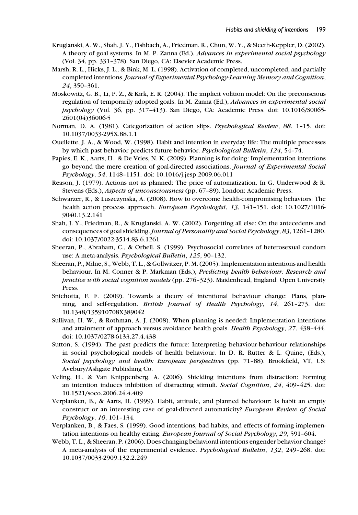- Kruglanski, A. W., Shah, J. Y., Fishbach, A., Friedman, R., Chun, W. Y., & Sleeth-Keppler, D. (2002). A theory of goal systems. In M. P. Zanna (Ed.), *Advances in experimental social psychology* (Vol. 34, pp. 331–378). San Diego, CA: Elsevier Academic Press.
- Marsh, R. L., Hicks, J. L., & Bink, M. L. (1998). Activation of completed, uncompleted, and partially completed intentions.*Journal of Experimental Psychology-Learning Memory and Cognition*, *24*, 350–361.
- Moskowitz, G. B., Li, P. Z., & Kirk, E. R. (2004). The implicit volition model: On the preconscious regulation of temporarily adopted goals. In M. Zanna (Ed.), *Advances in experimental social psychology* (Vol. 36, pp. 317–413). San Diego, CA: Academic Press. doi: 10.1016/S0065- 2601(04)36006-5
- Norman, D. A. (1981). Categorization of action slips. *Psychological Review*, *88*, 1–15. doi: 10.1037/0033-295X.88.1.1
- Ouellette, J. A., & Wood, W. (1998). Habit and intention in everyday life: The multiple processes by which past behavior predicts future behavior. *Psychological Bulletin*, *124*, 54–74.
- Papies, E. K., Aarts, H., & De Vries, N. K. (2009). Planning is for doing: Implementation intentions go beyond the mere creation of goal-directed associations. *Journal of Experimental Social Psychology*, *54*, 1148–1151. doi: 10.1016/j.jesp.2009.06.011
- Reason, J. (1979). Actions not as planned: The price of automatization. In G. Underwood & R. Stevens (Eds.), *Aspects of unconsciousness* (pp. 67–89). London: Academic Press.
- Schwarzer, R., & Luszczynska, A. (2008). How to overcome health-compromising behaviors: The health action process approach. *European Psychologist*, *13*, 141–151. doi: 10.1027/1016- 9040.13.2.141
- Shah, J. Y., Friedman, R., & Kruglanski, A. W. (2002). Forgetting all else: On the antecedents and consequences of goal shielding.*Journal of Personality and Social Psychology*, *83*, 1261–1280. doi: 10.1037/0022-3514.83.6.1261
- Sheeran, P., Abraham, C., & Orbell, S. (1999). Psychosocial correlates of heterosexual condom use: A meta-analysis. *Psychological Bulletin*, *125*, 90–132.
- Sheeran, P., Milne, S., Webb, T. L., & Gollwitzer, P. M. (2005). Implementation intentions and health behaviour. In M. Conner & P. Markman (Eds.), *Predicting health behaviour: Research and practice with social cognition models* (pp. 276–323). Maidenhead, England: Open University Press.
- Sniehotta, F. F. (2009). Towards a theory of intentional behaviour change: Plans, planning, and self-regulation. *British Journal of Health Psychology*, *14*, 261–273. doi: 10.1348/135910708X389042
- Sullivan, H. W., & Rothman, A. J. (2008). When planning is needed: Implementation intentions and attainment of approach versus avoidance health goals. *Health Psychology*, *27*, 438–444. doi: 10.1037/0278-6133.27.4.438
- Sutton, S. (1994). The past predicts the future: Interpreting behaviour-behaviour relationships in social psychological models of health behaviour. In D. R. Rutter & L. Quine, (Eds.), *Social psychology and health: European perspectives* (pp. 71–88). Brookfield, VT, US: Avebury/Ashgate Publishing Co.
- Veling, H., & Van Knippenberg, A. (2006). Shielding intentions from distraction: Forming an intention induces inhibition of distracting stimuli. *Social Cognition*, *24*, 409–425. doi: 10.1521/soco.2006.24.4.409
- Verplanken, B., & Aarts, H. (1999). Habit, attitude, and planned behaviour: Is habit an empty construct or an interesting case of goal-directed automaticity? *European Review of Social Psychology*, *10*, 101–134.
- Verplanken, B., & Faes, S. (1999). Good intentions, bad habits, and effects of forming implementation intentions on healthy eating. *European Journal of Social Psychology*, *29*, 591–604.
- Webb, T. L., & Sheeran, P. (2006). Does changing behavioral intentions engender behavior change? A meta-analysis of the experimental evidence. *Psychological Bulletin*, *132*, 249–268. doi: 10.1037/0033-2909.132.2.249